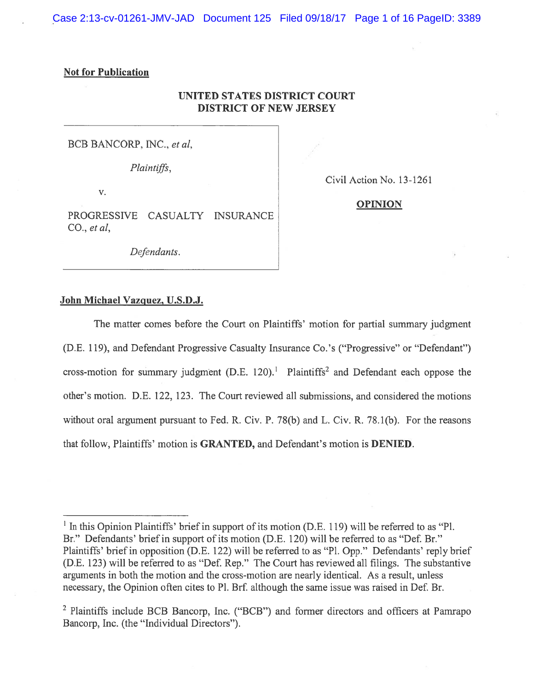Case 2:13-cv-01261-JMV-JAD Document 125 Filed 09/18/17 Page 1 of 16 PageID: 3389

## Not for Publication

# UNITED STATES DISTRICT COURT DISTRICT OF NEW JERSEY

BCB BANCORP, INC., et al,

Plaintiffs,

V.

Civil Action No. 13-1261

# PROGRESSIVE CASUALTY INSURANCE CO.,  $et \, al$ ,

Defendants.

#### **OPINION**

John Michael Vazquez, U.S.D.J.

The matter comes before the Court on Plaintiffs' motion for partial summary judgment (D.E. 119), and Defendant Progressive Casualty Insurance Co.'s ("Progressive" or "Defendant") cross-motion for summary judgment  $(D.E. 120)$ .<sup>1</sup> Plaintiffs<sup>2</sup> and Defendant each oppose the other's motion. D.E. 122, 123. The Court reviewed all submissions, and considered the motions without oral argument pursuant to Fed. R. Civ. P. 78(b) and L. Civ. R. 78.1(b). For the reasons that follow, Plaintiffs' motion is GRANTED, and Defendant's motion is DENIED.

 $<sup>1</sup>$  In this Opinion Plaintiffs' brief in support of its motion (D.E. 119) will be referred to as "Pl.</sup> Br." Defendants' brief in suppor<sup>t</sup> of its motion (D.E. 120) will be referred to as "Def. Br." Plaintiffs' brief in opposition (D.E. 122) will be referred to as "P1. Opp." Defendants' reply brief (D.E. 123) will be referred to as "Def. Rep." The Court has reviewed all filings. The substantive arguments in both the motion and the cross-motion are nearly identical. As <sup>a</sup> result, unless necessary, the Opinion often cites to P1. Brf. although the same issue was raised in Def. Br.

<sup>&</sup>lt;sup>2</sup> Plaintiffs include BCB Bancorp, Inc. ("BCB") and former directors and officers at Pamrapo Bancorp, Inc. (the "Individual Directors").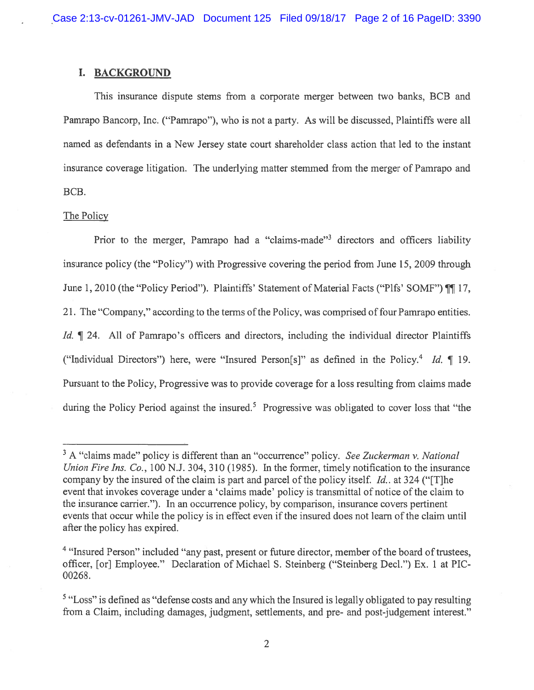### I. BACKGROUND

This insurance dispute stems from <sup>a</sup> corporate merger between two banks, BCB and Pamrapo Bancorp, Inc. ("Pamrapo"), who is not <sup>a</sup> party. As will be discussed, Plaintiffs were all named as defendants in <sup>a</sup> New Jersey state court shareholder class action that led to the instant insurance coverage litigation. The underlying matter stemmed from the merger of Pamrapo and BCB.

#### The Policy

Prior to the merger, Pamrapo had a "claims-made"<sup>3</sup> directors and officers liability insurance policy (the "Policy") with Progressive covering the period from June 15, 2009 through June 1, 2010 (the "Policy Period"). Plaintiffs' Statement of Material Facts ("Plfs' SOMF") ¶[17, 21. The "Company," according to the terms of the Policy, was comprised of four Pamrapo entities. Id.  $\parallel$  24. All of Pamrapo's officers and directors, including the individual director Plaintiffs ("Individual Directors") here, were "Insured Person[s]" as defined in the Policy.<sup>4</sup> Id.  $\P$  19. Pursuant to the Policy, Progressive was to provide coverage for <sup>a</sup> loss resulting from claims made during the Policy Period against the insured.<sup>5</sup> Progressive was obligated to cover loss that "the

 $3$  A "claims made" policy is different than an "occurrence" policy. See Zuckerman v. National Union Fire Ins. Co., 100 N.J. 304, 310 (1985). In the former, timely notification to the insurance company by the insured of the claim is part and parcel of the policy itself. Id., at 324 ("[T]he event that invokes coverage under a 'claims made' policy is transmittal of notice of the claim to the insurance carrier."). In an occurrence policy, by comparison, insurance covers pertinent events that occur while the policy is in effect even if the insured does not learn of the claim until afier the policy has expired.

<sup>&</sup>lt;sup>4</sup> "Insured Person" included "any past, present or future director, member of the board of trustees, officer, [or] Employee." Declaration of Michael S. Steinberg ("Steinberg Decl.") Ex. 1 at PlC 00268.

<sup>&</sup>lt;sup>5</sup> "Loss" is defined as "defense costs and any which the Insured is legally obligated to pay resulting from <sup>a</sup> Claim, including damages, judgment, settlements, and pre- and post-judgement interest."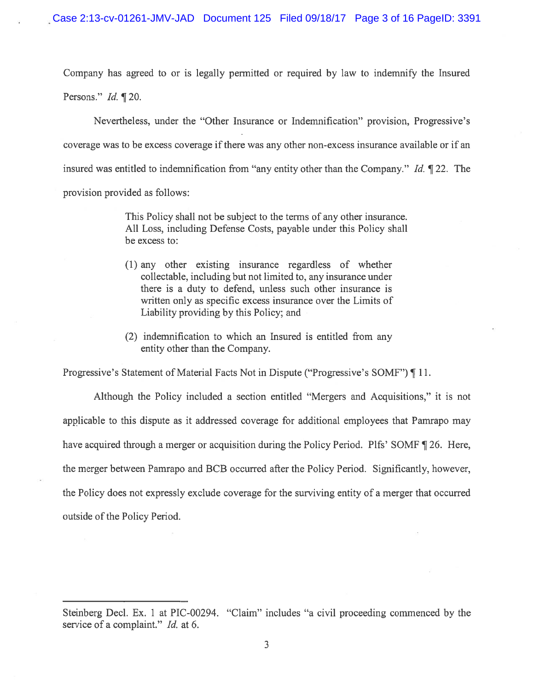Company has agreed to or is legally permitted or required by law to indemnify the Insured Persons." Id. ¶ 20.

Nevertheless, under the "Other Insurance or Indemnification" provision, Progressive's coverage was to be excess coverage ifthere was any other non-excess insurance available or if an insured was entitled to indemnification from "any entity other than the Company." Id.  $\P$  22. The provision provided as follows:

> This Policy shall not be subject to the terms of any other insurance. All Loss, including Defense Costs, payable under this Policy shall be excess to:

- (1) any other existing insurance regardless of whether collectable, including but not limited to, any insurance under there is <sup>a</sup> duty to defend, unless such other insurance is written only as specific excess insurance over the Limits of Liability providing by this Policy; and
- (2) indemnification to which an Insured is entitled from any entity other than the Company.

Progressive's Statement of Material Facts Not in Dispute ("Progressive's SOMF") ¶ 11.

Although the Policy included <sup>a</sup> section entitled "Mergers and Acquisitions," it is not applicable to this dispute as it addressed coverage for additional employees that Pamrapo may have acquired through a merger or acquisition during the Policy Period. Plfs' SOMF ¶ 26. Here, the merger between Pamrapo and BCB occurred after the Policy Period. Significantly, however, the Policy does not expressly exclude coverage for the surviving entity of <sup>a</sup> merger that occurred outside of the Policy Period.

Steinberg Decl. Ex. 1 at PIC-00294. "Claim" includes "a civil proceeding commenced by the service of a complaint." Id. at 6.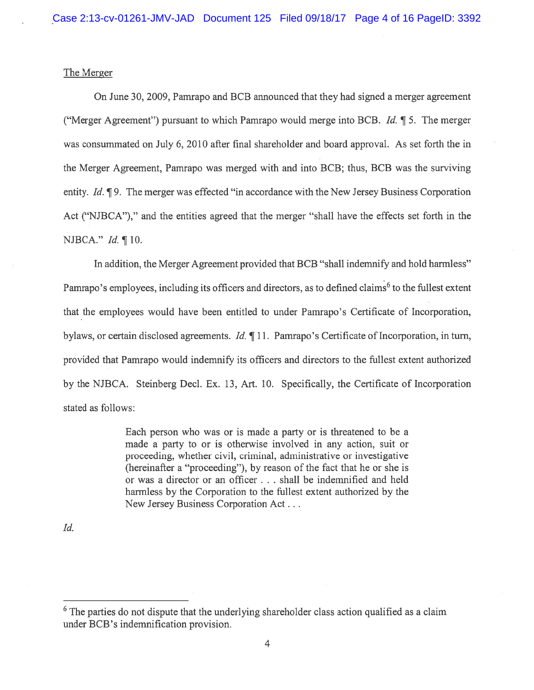## The Merger

On June 30, 2009, Pamrapo and BCB announced that they had signed <sup>a</sup> merger agreemen<sup>t</sup> ("Merger Agreement") pursuant to which Pamrapo would merge into BCB. Id.  $\P$  5. The merger was consummated on July 6, 2010 after final shareholder and board approval. As set forth the in the Merger Agreement, Pamrapo was merged with and into BCB; thus, BCB was the surviving entity. Id.  $\P$ 9. The merger was effected "in accordance with the New Jersey Business Corporation Act ("NJBCA")," and the entities agreed that the merger "shall have the effects set forth in the NJBCA." Id. ¶ 10.

In addition, the Merger Agreement provided that BCB "shall indemnify and hold harmless" Pamrapo's employees, including its officers and directors, as to defined claims<sup>6</sup> to the fullest extent that the employees would have been entitled to under Pamrapo's Certificate of Incorporation, bylaws, or certain disclosed agreements. *Id.*  $\P$  11. Pamrapo's Certificate of Incorporation, in turn, provided that Pamrapo would indemnify its officers and directors to the fullest extent authorized by the NJBCA. Steinberg Decl. Ex. 13, Art. 10. Specifically, the Certificate of Incorporation stated as follows:

> Each person who was or is made <sup>a</sup> party or is threatened to be <sup>a</sup> made <sup>a</sup> party to or is otherwise involved in any action, suit or proceeding, whether civil, criminal, administrative or investigative (hereinafter <sup>a</sup> "proceeding"), by reason of the fact that he or she is or was <sup>a</sup> director or an officer . . . shall be indemnified and held harmless by the Corporation to the fullest extent authorized by the New Jersey Business Corporation Act...

Id.

 $6$  The parties do not dispute that the underlying shareholder class action qualified as a claim under BCB's indemnification provision.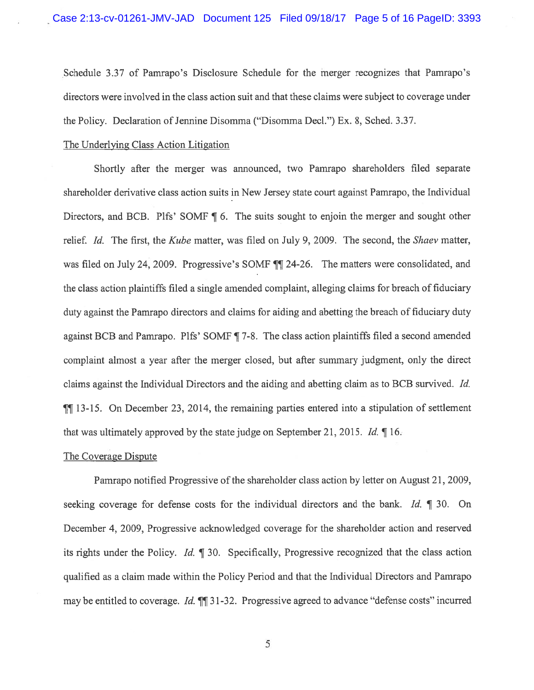Schedule 3.37 of Pamrapo's Disclosure Schedule for the merger recognizes that Pamrapo's directors were involved in the class action suit and that these claims were subject to coverage under the Policy. Declaration of Jennine Disomma ("Disomma Decl.") Ex. 8, Sched. 3.37.

## The Underlying Class Action Litigation

Shortly after the merger was announced, two Pamrapo shareholders filed separate shareholder derivative class action suits in New Jersey state court against Pamrapo, the Individual Directors, and BCB. Plfs' SOMF ¶ 6. The suits sought to enjoin the merger and sought other relief. Id. The first, the Kube matter, was filed on July 9, 2009. The second, the Shaev matter, was filed on July 24, 2009. Progressive's SOMF  $\P$  24-26. The matters were consolidated, and the class action plaintiffs filed a single amended complaint, alleging claims for breach of fiduciary duty against the Pamrapo directors and claims for aiding and abetting the breach of fiduciary duty against BCB and Pamrapo. Plfs' SOMF ¶ 7-8. The class action <sup>p</sup>laintiffs filed <sup>a</sup> second amended complaint almost <sup>a</sup> year after the merger closed, but after summary judgment, only the direct claims against the Individual Directors and the aiding and abetting claim as to BCB survived. Id. ¶J 13-15. On December 23, 2014, the remaining parties entered into <sup>a</sup> stipulation of settlement that was ultimately approve<sup>d</sup> by the state judge on September 21, 2015. Id. ¶ 16.

#### The Coverage Dispute

Pamrapo notified Progressive of the shareholder class action by letter on August 21, 2009, seeking coverage for defense costs for the individual directors and the bank. Id.  $\parallel$  30. On December 4, 2009, Progressive acknowledged coverage for the shareholder action and reserved its rights under the Policy. Id. ¶ 30. Specifically, Progressive recognized that the class action qualified as <sup>a</sup> claim made within the Policy Period and that the Individual Directors and Pamrapo may be entitled to coverage. Id.  $\P$  31-32. Progressive agreed to advance "defense costs" incurred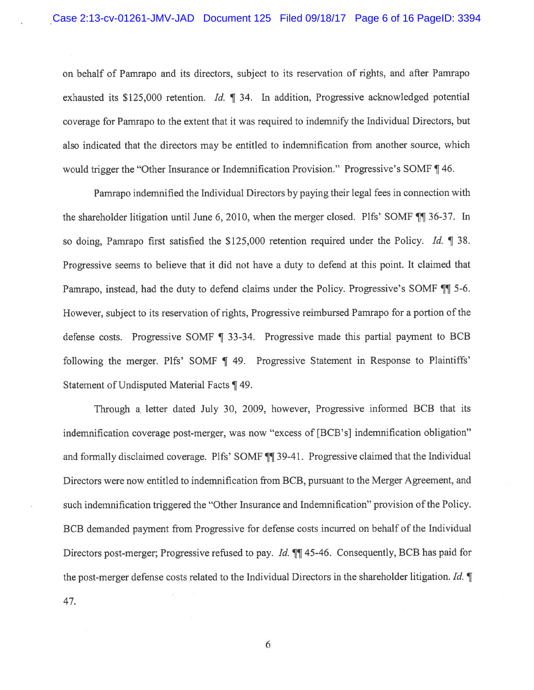on behalf of Pamrapo and its directors, subject to its reservation of rights, and after Pamrapo exhausted its \$125,000 retention. *Id.* ¶ 34. In addition, Progressive acknowledged potential coverage for Pamrapo to the extent that it was required to indemnify the Individual Directors, but also indicated that the directors may be entitled to indemnification from another source, which would trigger the "Other Insurance or Indemnification Provision." Progressive's SOMF ¶ 46.

Pamrapo indemnified the Individual Directors by paying their legal fees in connection with the shareholder litigation until June 6, 2010, when the merger closed. Plfs' SOMF  $\P$  36-37. In so doing, Pamrapo first satisfied the \$125,000 retention required under the Policy. Id.  $\parallel$  38. Progressive seems to believe that it did not have <sup>a</sup> duty to defend at this point. It claimed that Pamrapo, instead, had the duty to defend claims under the Policy. Progressive's SOMF  $\P$  5-6. However, subject to its reservation of rights, Progressive reimbursed Pamrapo for a portion of the defense costs. Progressive SOMF ¶ 33-34. Progressive made this partial payment to BCB following the merger. Plfs' SOMF | 49. Progressive Statement in Response to Plaintiffs' Statement of Undisputed Material Facts ¶ 49.

Through a. letter dated July 30, 2009, however, Progressive informed BCB that its indemnification coverage post-merger, was now "excess of [BCB's] indemnification obligation" and formally disclaimed coverage. Plfs' SOMF  $\P$  39-41. Progressive claimed that the Individual Directors were now entitled to indemnification from BCB, pursuan<sup>t</sup> to the Merger Agreement, and such indemnification triggered the "Other Insurance and Indemnification" provision of the Policy. BCB demanded paymen<sup>t</sup> from Progressive for defense costs incurred on behalf of the Individual Directors post-merger; Progressive refused to pay. *Id.*  $\P\P$  45-46. Consequently, BCB has paid for the post-merger defense costs related to the Individual Directors in the shareholder litigation. Id.  $\P$ 47.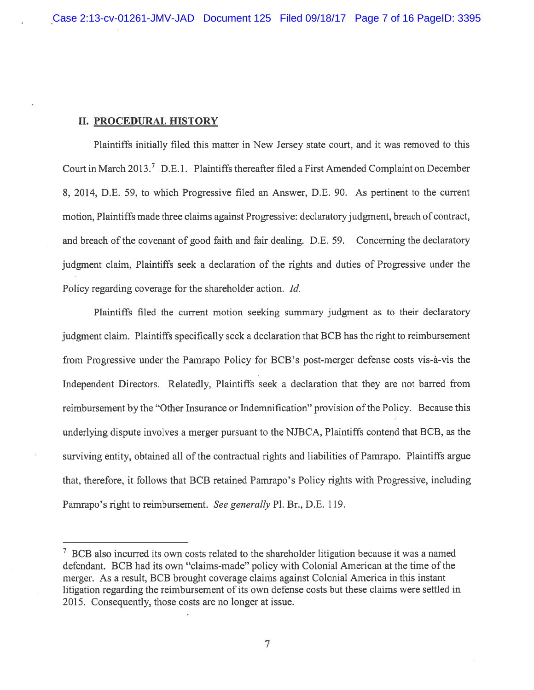### II. PROCEDURAL HISTORY

Plaintiffs initially filed this matter in New Jersey state court, and it was removed to this Court in March 2013.<sup>7</sup> D.E.1. Plaintiffs thereafter filed a First Amended Complaint on December 8, 2014, D.E. 59, to which Progressive filed an Answer, D.E. 90. As pertinent to the current motion, Plaintiffs made three claims against Progressive: declaratoryjudgment, breach of contract, and breach of the covenant of good faith and fair dealing. D.E. 59. Concerning the declaratory judgment claim, Plaintiffs seek <sup>a</sup> declaration of the rights and duties of Progressive under the Policy regarding coverage for the shareholder action. Id.

Plaintiffs filed the current motion seeking summary judgment as to their declaratory judgment claim. Plaintiffs specifically seek <sup>a</sup> declaration that BCB has the right to reimbursement from Progressive under the Pamrapo Policy for BCB's post-merger defense costs vis-ã-vis the Independent Directors. Relatedly, Plaintiffs seek <sup>a</sup> declaration that they are not barred from reimbursement by the "Other Insurance or Indemnification" provision of the Policy. Because this underlying dispute involves <sup>a</sup> merger pursuan<sup>t</sup> to the NJBCA, Plaintiffs contend that BCB, as the surviving entity, obtained all of the contractual rights and liabilities of Pamrapo. Plaintiffs argue that, therefore, it follows that BCB retained Pamrapo's Policy rights with Progressive, including Pamrapo's right to reimbursement. See generally P1. Br., D.E. 119.

 $\frac{7}{1}$  BCB also incurred its own costs related to the shareholder litigation because it was a named defendant. BCB had its own "claims-made" policy with Colonial American at the time of the merger. As <sup>a</sup> result, BCB brought coverage claims against Colonial America in this instant litigation regarding the reimbursement of its own defense costs but these claims were settled in 2015. Consequently, those costs are no longer at issue.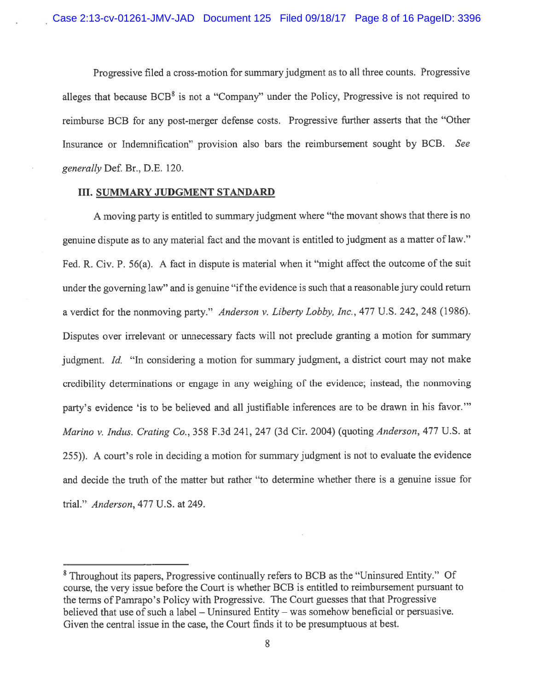Progressive filed <sup>a</sup> cross-motion for summary judgment as to all three counts. Progressive alleges that because  $BCB<sup>8</sup>$  is not a "Company" under the Policy, Progressive is not required to reimburse BCB for any post-merger defense costs. Progressive further asserts that the "Other Insurance or Indemnification" provision also bars the reimbursement sought by BCB. See generally Def. Br., D.E. 120.

## III. SUMMARY JUDGMENT STANDARD

<sup>A</sup> moving party is entitled to summary judgment where "the movant shows that there is no genuine dispute as to any material fact and the movant is entitled to judgment as <sup>a</sup> matter of law." fed. R. Civ. P. 56(a). <sup>A</sup> fact in dispute is material when it "might affect the outcome of the suit under the governing law" and is genuine "if the evidence is such that a reasonable jury could return a verdict for the nonmoving party." Anderson v. Liberty Lobby, Inc., 477 U.S. 242, 248 (1986). Disputes over irrelevant or unnecessary facts will not preclude granting <sup>a</sup> motion for summary judgment. Id. "In considering a motion for summary judgment, a district court may not make credibility determinations or engage in any weighing of the evidence; instead, the nonmoving party's evidence 'is to be believed and all justifiable inferences are to be drawn in his favor." Marino v. Indus. Crating Co., 358 F.3d 241, 247 (3d Cir. 2004) (quoting Anderson, 477 U.S. at 255)). <sup>A</sup> court's role in deciding <sup>a</sup> motion for summary judgment is not to evaluate the evidence and decide the truth of the matter but rather "to determine whether there is <sup>a</sup> genuine issue for trial." Anderson, 477 U.S. at 249.

<sup>\$</sup> Throughout its papers, Progressive continually refers to BCB as the "Uninsured Entity." Of course, the very issue before the Court is whether BCB is entitled to reimbursement pursuan<sup>t</sup> to the terms of Pamrapo's Policy with Progressive. The Court guesses that that Progressive believed that use of such a label  $-$  Uninsured Entity  $-$  was somehow beneficial or persuasive. Given the central issue in the case, the Court finds it to be presumptuous at best.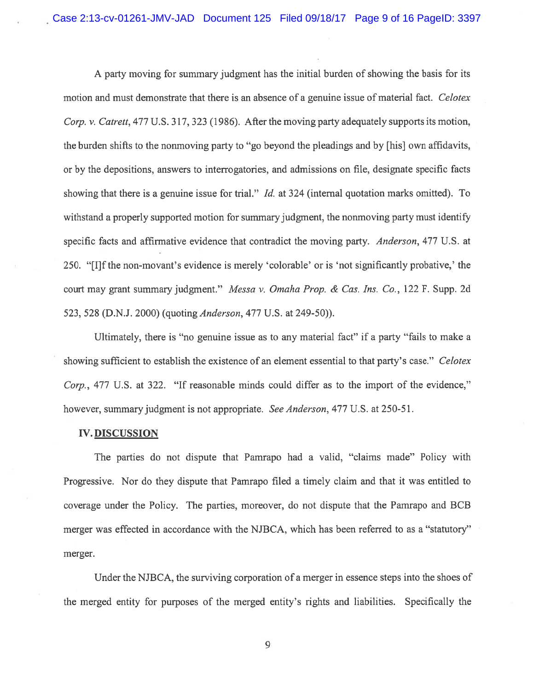A party moving for summary judgment has the initial burden of showing the basis for its motion and must demonstrate that there is an absence of <sup>a</sup> genuine issue of material fact. Celotex Corp. v. Catrett, 477 U.S. 317, 323 (1986). After the moving party adequately supports its motion, the burden shifts to the nonmoving party to "go beyond the pleadings and by [his] own affidavits, or by the depositions, answers to interrogatories, and admissions on file, designate specific facts showing that there is a genuine issue for trial." *Id.* at 324 (internal quotation marks omitted). To withstand <sup>a</sup> properly supported motion for summary judgment, the nonmoving party must identify specific facts and affirmative evidence that contradict the moving party. Anderson, 477 U.S. at 250. "[I]f the non-movant's evidence is merely 'colorable' or is 'not significantly probative,' the court may gran<sup>t</sup> summary judgment." Messa v. Omaha Prop. & Cas. Ins. Co., 122 F. Supp. 2d 523, 528 (D.N.J. 2000) (quoting Anderson, 477 U.S. at 249-50)).

Ultimately, there is "no genuine issue as to any material fact" if <sup>a</sup> party "fails to make <sup>a</sup> showing sufficient to establish the existence of an element essential to that party's case." Celotex Corp., 477 U.S. at 322. "If reasonable minds could differ as to the import of the evidence," however, summary judgment is not appropriate. See Anderson, 477 U.S. at 250-51.

### IV. DISCUSSION

The parties do not dispute that Pamrapo had <sup>a</sup> valid, "claims made" Policy with Progressive. Nor do they dispute that Pamrapo filed <sup>a</sup> timely claim and that it was entitled to coverage under the Policy. The parties, moreover, do not dispute that the Pamrapo and BCB merger was effected in accordance with the NJBCA, which has been referred to as <sup>a</sup> "statutory" merger.

Under the NJBCA, the surviving corporation of <sup>a</sup> merger in essence steps into the shoes of the merged entity for purposes of the merged entity's rights and liabilities. Specifically the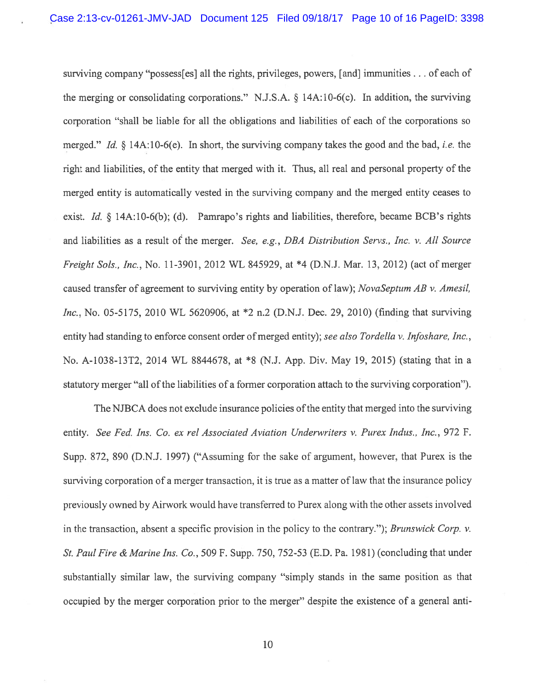surviving company "possess[es] all the rights, privileges, powers, [and] immunities... of each of the merging or consolidating corporations." N.J.S.A. § 14A:lO-6(c). In addition, the surviving corporation "shall be liable for all the obligations and liabilities of each of the corporations so merged." Id.  $\delta$  14A:10-6(e). In short, the surviving company takes the good and the bad, *i.e.* the right and liabilities, of the entity that merged with it. Thus, all real and personal property of the merged entity is automatically vested in the surviving company and the merged entity ceases to exist. *Id.* § 14A:10-6(b); (d). Pamrapo's rights and liabilities, therefore, became BCB's rights and liabilities as <sup>a</sup> result of the merger. See, e.g., DBA Distribution Servs., Inc. v. All Source freight Sols., Inc., No. 11-3901, <sup>2012</sup> WL \$45929, at \*4 (D.N.J. Mar. 13, 2012) (act of merger caused transfer of agreement to surviving entity by operation of law); NovaSeptum AB v. Amesil, Inc., No. 05-5175, 2010 WL 5620906, at \*2 n.2 (D.N.J. Dec. 29, 2010) (finding that surviving entity had standing to enforce consent order of merged entity); see also Tordella v. Infoshare, Inc., No. A-1038-13T2, 2014 WL 8844678, at \*8 (N.J. App. Div. May 19, 2015) (stating that in a statutory merger "all of the liabilities of a former corporation attach to the surviving corporation").

The NJBCA does not exclude insurance policies of the entity that merged into the surviving entity. See fed. Ins. Co. ex rel Associated Aviation Undenvriters v. Purex Indus., Inc., 972 F. Supp. 872, \$90 (D.N.J. 1997) ("Assuming for the sake of argument, however, that Purex is the surviving corporation of a merger transaction, it is true as a matter of law that the insurance policy previously owned by Airwork would have transferred to Purex along with the other assets involved in the transaction, absent a specific provision in the policy to the contrary."); *Brunswick Corp.* v. St. Paul Fire & Marine Ins. Co., 509 F. Supp. 750, 752-53 (E.D. Pa. 1981) (concluding that under substantially similar law, the surviving company "simply stands in the same position as that occupied by the merger corporation prior to the merger" despite the existence of <sup>a</sup> general anti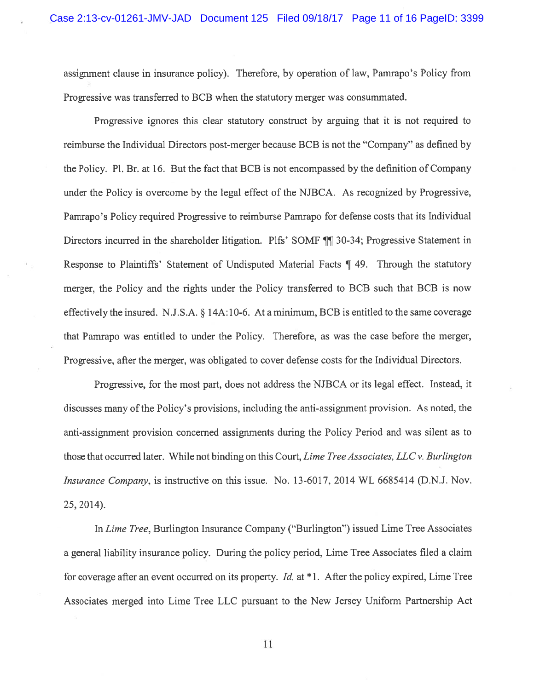assignment clause in insurance policy). Therefore, by operation of law, Pamrapo's Policy from Progressive was transferred to BCB when the statutory merger was consummated.

Progressive ignores this clear statutory construct by arguing that it is not required to reimburse the Individual Directors post-merger because BCB is not the "Company" as defined by the Policy. P1. Br. at 16. But the fact that BCB is not encompassed by the definition of Company under the Policy is overcome by the legal effect of the NJBCA. As recognized by Progressive, Pamrapo's Policy required Progressive to reimburse Pamrapo for defense costs that its Individual Directors incurred in the shareholder litigation. Plfs' SOMF ¶¶ 30-34; Progressive Statement in Response to Plaintiffs' Statement of Undisputed Material Facts ¶ 49. Through the statutory merger, the Policy and the rights under the Policy transferred to BCB such that BCB is now effectively the insured. N.J.S.A. § 14A:10-6. At a minimum, BCB is entitled to the same coverage that Pamrapo was entitled to under the Policy. Therefore, as was the case before the merger, Progressive, after the merger, was obligated to cover defense costs for the Individual Directors.

Progressive, for the most part, does not address the NJBCA or its legal effect. Instead, it discusses many of the Policy's provisions, including the anti-assignment provision. As noted, the anti-assignment provision concerned assignments during the Policy Period and was silent as to those that occurred later. While not binding on this Court, Lime Tree Associates, LLC v. Burlington Insurance Company, is instructive on this issue. No. 13-6017, 2014 WL 6685414 (D.N.J. Nov. 25, 2014).

In Lime Tree, Burlington Insurance Company ("Burlington") issued Lime Tree Associates <sup>a</sup> general liability insurance policy. During the policy period, Lime Tree Associates filed <sup>a</sup> claim for coverage after an event occurred on its property. *Id.* at  $*1$ . After the policy expired, Lime Tree Associates merged into Lime Tree LLC pursuan<sup>t</sup> to the New Jersey Uniform Partnership Act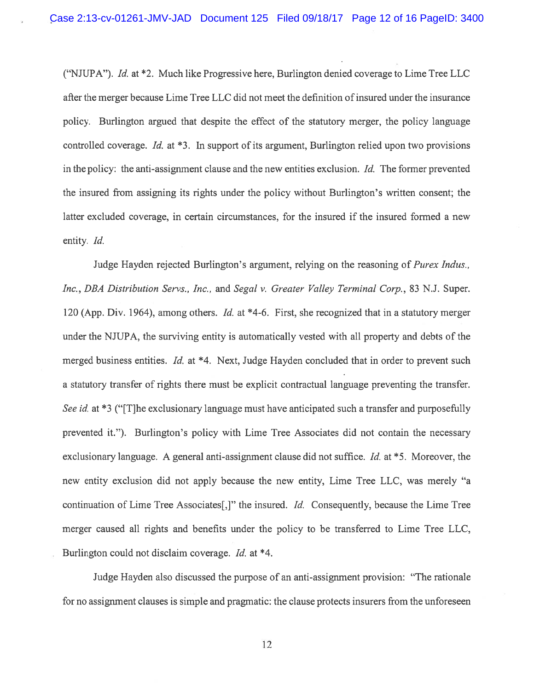("NJUPA"). Id. at  $*2$ . Much like Progressive here, Burlington denied coverage to Lime Tree LLC after the merger because Lime Tree LLC did not meet the definition of insured under the insurance policy. Burlington argued that despite the effect of the statutory merger, the policy language controlled coverage. Id. at  $*3$ . In support of its argument, Burlington relied upon two provisions in the policy: the anti-assignment clause and the new entities exclusion. Id. The former prevented the insured from assigning its rights under the policy without Burlington's written consent; the latter excluded coverage, in certain circumstances, for the insured if the insured formed <sup>a</sup> new entity. Id.

Judge Hayden rejected Burlington's argument, relying on the reasoning of *Purex Indus.*, Inc., DBA Distribution Servs., Inc., and Segal v. Greater Valley Terminal Corp., 83 N.J. Super. 120 (App. Div. 1964), among others. Id. at \*4-6. First, she recognized that in a statutory merger under the NJUPA, the surviving entity is automatically vested with all property and debts of the merged business entities. Id. at  $*4$ . Next, Judge Hayden concluded that in order to prevent such <sup>a</sup> statutory transfer of rights there must be explicit contractual language preventing the transfer. See id. at \*3 ("[T]he exclusionary language must have anticipated such a transfer and purposefully prevented it."). Burlington's policy with Lime Tree Associates did not contain the necessary exclusionary language. A general anti-assignment clause did not suffice. *Id.* at  $*$ 5. Moreover, the new entity exclusion did not apply because the new entity, Lime Tree LLC, was merely "a continuation of Lime Tree Associates[,]" the insured. Id. Consequently, because the Lime Tree merger caused all rights and benefits under the policy to be transferred to Lime Tree LLC, Burlington could not disclaim coverage. *Id.* at \*4.

Judge Hayden also discussed the purpose of an anti-assignment provision: "The rationale for no assignment clauses is simple and pragmatic: the clause protects insurers from the unforeseen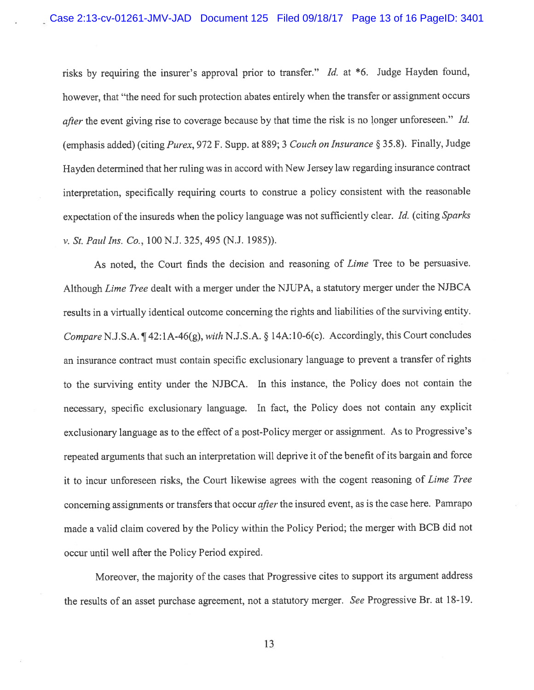risks by requiring the insurer's approva<sup>l</sup> prior to transfer." Id. at \*6. Judge Hayden found, however, that "the need for such protection abates entirely when the transfer or assignment occurs *after* the event giving rise to coverage because by that time the risk is no longer unforeseen." Id. (emphasis added) (citing Purex, <sup>972</sup> F. Supp. at 889; <sup>3</sup> Couch on Insurance § 35.8). Finally, Judge Hayden determined that her ruling was in accord with New Jersey law regarding insurance contract interpretation, specifically requiring courts to construe <sup>a</sup> policy consistent with the reasonable expectation of the insureds when the policy language was not sufficiently clear. Id. (citing Sparks v. St. Paul Ins. Co., 100 N.J. 325, 495 (N.J. 1985)).

As noted, the Court finds the decision and reasoning of Lime Tree to be persuasive. Although Lime Tree dealt with <sup>a</sup> merger under the NJUPA, <sup>a</sup> statutory merger under the NJBCA results in a virtually identical outcome concerning the rights and liabilities of the surviving entity. Compare N.J.S.A.  $\P$ 42:1A-46(g), with N.J.S.A. § 14A:10-6(c). Accordingly, this Court concludes an insurance contract must contain specific exclusionary language to preven<sup>t</sup> <sup>a</sup> transfer of rights to the surviving entity under the NJBCA. In this instance, the Policy does not contain the necessary, specific exclusionary language. In fact, the Policy does not contain any explicit exclusionary language as to the effect of <sup>a</sup> post-Policy merger or assignment. As to Progressive's repeated arguments that such an interpretation will deprive it of the benefit of its bargain and force it to incur unforeseen risks, the Court likewise agrees with the cogen<sup>t</sup> reasoning of Lime Tree concerning assignments or transfers that occur after the insured event, as is the case here. Pamrapo made <sup>a</sup> valid claim covered by the Policy within the Policy Period; the merger with BCB did not occur until well after the Policy Period expired.

Moreover, the majority of the cases that Progressive cites to suppor<sup>t</sup> its argumen<sup>t</sup> address the results of an asset purchase agreement, not <sup>a</sup> statutory merger. See Progressive Br. at 18-19.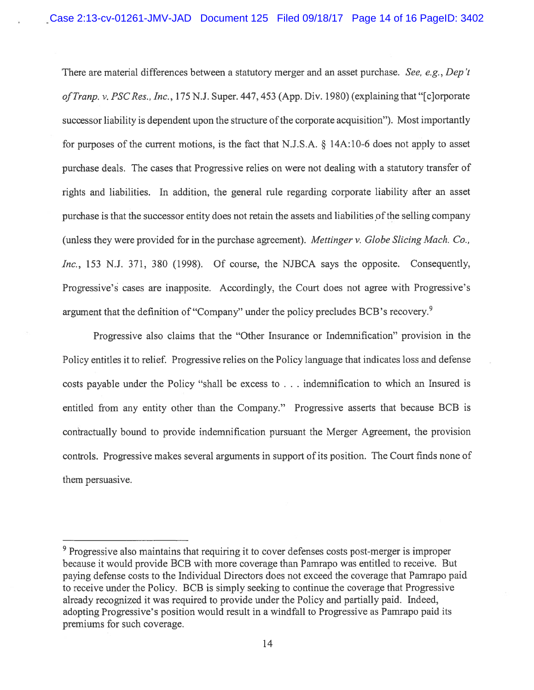There are material differences between a statutory merger and an asset purchase. See, e.g., Dep't of Tranp. v. PSC Res., Inc., 175 N.J. Super. 447, 453 (App. Div. 1980) (explaining that "[c]orporate successor liability is dependent upon the structure of the corporate acquisition"). Most importantly for purposes of the current motions, is the fact that N.J.S.A. § 14A:10-6 does not apply to asset purchase deals. The cases that Progressive relies on were not dealing with <sup>a</sup> statutory transfer of rights and liabilities. In addition, the general rule regarding corporate liability after an asset purchase is that the successor entity does not retain the assets and liabilities of the selling company (unless they were provided for in the purchase agreement). Mettinger v. Globe Slicing Mach. Co., Inc., 153 N.J. 371, 380 (1998). Of course, the NJBCA says the opposite. Consequently, Progressive's cases are inapposite. Accordingly, the Court does not agree with Progressive's argument that the definition of "Company" under the policy precludes BCB's recovery.<sup>9</sup>

Progressive also claims that the "Other Insurance or Indemnification" provision in the Policy entitles it to relief. Progressive relies on the Policy language that indicates loss and defense costs payable under the Policy "shall be excess to . . . indemnification to which an Insured is entitled from any entity other than the Company." Progressive asserts that because BCB is contractually bound to provide indemnification pursuan<sup>t</sup> the Merger Agreement, the provision controls. Progressive makes several arguments in suppor<sup>t</sup> of its position. The Court finds none of them persuasive.

<sup>&</sup>lt;sup>9</sup> Progressive also maintains that requiring it to cover defenses costs post-merger is improper because it would provide BCB with more coverage than Pamrapo was entitled to receive. But paying defense costs to the Individual Directors does not exceed the coverage that Pamrapo paid to receive under the Policy. BCB is simply seeking to continue the coverage that Progressive already recognized it was required to provide under the Policy and partially paid. Indeed, adopting Progressive's position would result in <sup>a</sup> windfall to Progressive as Pamrapo paid its premiums for such coverage.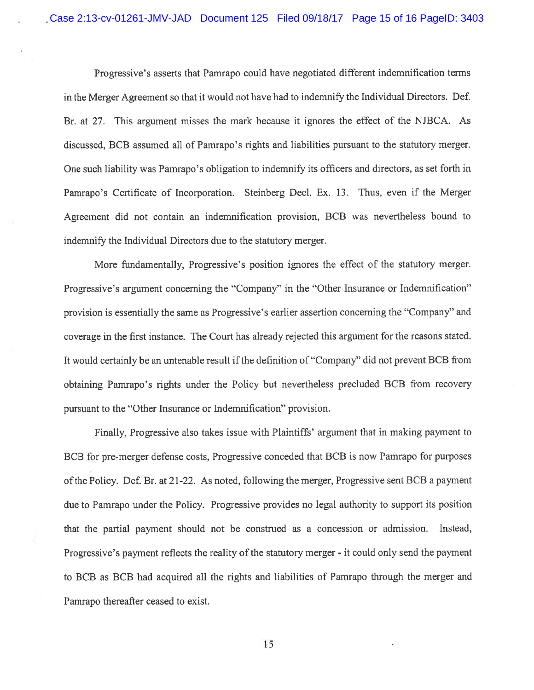Progressive's asserts that Pamrapo could have negotiated different indemnification terms in the Merger Agreement so that it would not have had to indemnify the Individual Directors. Def. Br. at 27. This argumen<sup>t</sup> misses the mark because it ignores the effect of the NJBCA. As discussed, BCB assumed all of Pamrapo's rights and liabilities pursuan<sup>t</sup> to the statutory merger. One such liability was Pamrapo's obligation to indemnify its officers and directors, as set forth in Pamrapo's Certificate of Incorporation. Steinberg Decl. Ex. 13. Thus, even if the Merger Agreement did not contain an indemnification provision, BCB was nevertheless bound to indemnify the Individual Directors due to the statutory merger.

More fundamentally, Progressive's position ignores the effect of the statutory merger. Progressive's argumen<sup>t</sup> concerning the "Company" in the "Other Insurance or Indemnification" provision is essentially the same as Progressive's earlier assertion concerning the "Company" and coverage in the first instance. The Court has already rejected this argumen<sup>t</sup> for the reasons stated. It would certainly be an untenable result if the definition of "Company" did not prevent BCB from obtaining Pamrapo's rights under the Policy but nevertheless precluded BCB from recovery pursuan<sup>t</sup> to the "Other Insurance or Indemnification" provision.

Finally, Progressive also takes issue with Plaintiffs' argumen<sup>t</sup> that in making paymen<sup>t</sup> to BCB for pre-merger defense costs, Progressive conceded that BCB is now Pamrapo for purposes of the Policy. Def. Br. at 21-22. As noted, following the merger, Progressive sent BCB a payment due to Pamrapo under the Policy. Progressive provides no legal authority to suppor<sup>t</sup> its position that the partial paymen<sup>t</sup> should not be construed as <sup>a</sup> concession or admission. Instead, Progressive's paymen<sup>t</sup> reflects the reality of the statutory merger - it could only send the paymen<sup>t</sup> to BCB as BCB had acquired all the rights and liabilities of Pamrapo through the merger and Pamrapo thereafter ceased to exist.